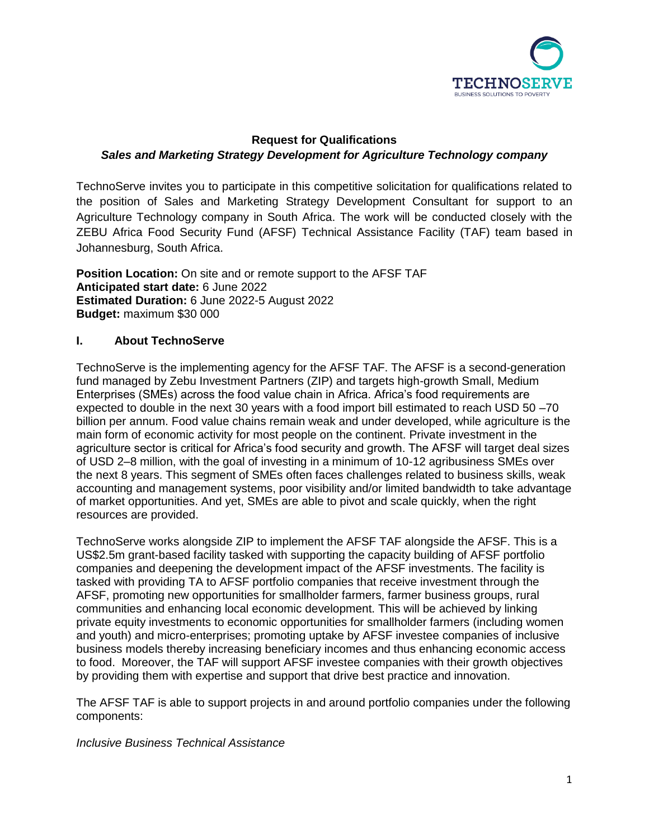

# **Request for Qualifications** *Sales and Marketing Strategy Development for Agriculture Technology company*

TechnoServe invites you to participate in this competitive solicitation for qualifications related to the position of Sales and Marketing Strategy Development Consultant for support to an Agriculture Technology company in South Africa. The work will be conducted closely with the ZEBU Africa Food Security Fund (AFSF) Technical Assistance Facility (TAF) team based in Johannesburg, South Africa.

**Position Location:** On site and or remote support to the AFSF TAF **Anticipated start date:** 6 June 2022 **Estimated Duration:** 6 June 2022-5 August 2022 **Budget:** maximum \$30 000

## **I. About TechnoServe**

TechnoServe is the implementing agency for the AFSF TAF. The AFSF is a second-generation fund managed by Zebu Investment Partners (ZIP) and targets high-growth Small, Medium Enterprises (SMEs) across the food value chain in Africa. Africa's food requirements are expected to double in the next 30 years with a food import bill estimated to reach USD 50 –70 billion per annum. Food value chains remain weak and under developed, while agriculture is the main form of economic activity for most people on the continent. Private investment in the agriculture sector is critical for Africa's food security and growth. The AFSF will target deal sizes of USD 2–8 million, with the goal of investing in a minimum of 10-12 agribusiness SMEs over the next 8 years. This segment of SMEs often faces challenges related to business skills, weak accounting and management systems, poor visibility and/or limited bandwidth to take advantage of market opportunities. And yet, SMEs are able to pivot and scale quickly, when the right resources are provided.

TechnoServe works alongside ZIP to implement the AFSF TAF alongside the AFSF. This is a US\$2.5m grant-based facility tasked with supporting the capacity building of AFSF portfolio companies and deepening the development impact of the AFSF investments. The facility is tasked with providing TA to AFSF portfolio companies that receive investment through the AFSF, promoting new opportunities for smallholder farmers, farmer business groups, rural communities and enhancing local economic development. This will be achieved by linking private equity investments to economic opportunities for smallholder farmers (including women and youth) and micro-enterprises; promoting uptake by AFSF investee companies of inclusive business models thereby increasing beneficiary incomes and thus enhancing economic access to food. Moreover, the TAF will support AFSF investee companies with their growth objectives by providing them with expertise and support that drive best practice and innovation.

The AFSF TAF is able to support projects in and around portfolio companies under the following components:

#### *Inclusive Business Technical Assistance*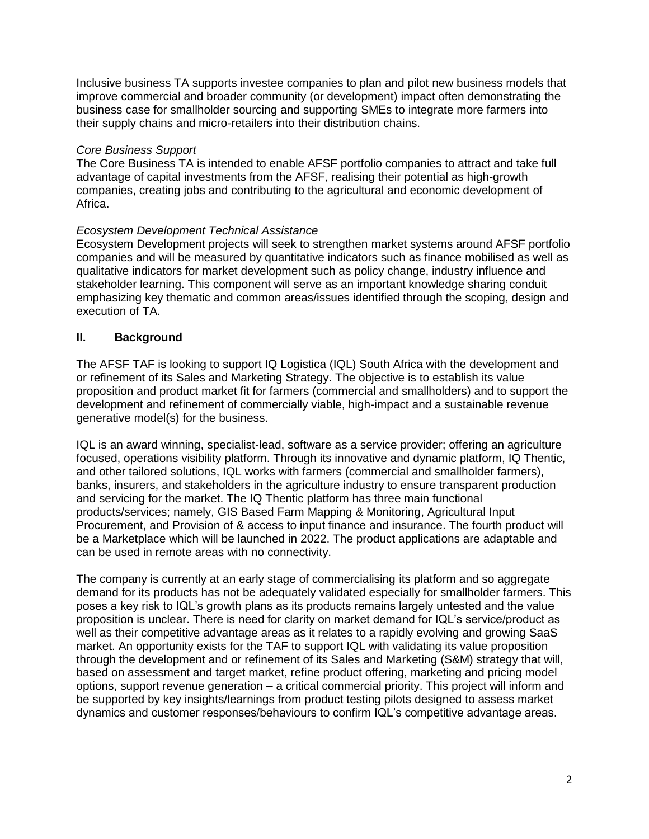Inclusive business TA supports investee companies to plan and pilot new business models that improve commercial and broader community (or development) impact often demonstrating the business case for smallholder sourcing and supporting SMEs to integrate more farmers into their supply chains and micro-retailers into their distribution chains.

### *Core Business Support*

The Core Business TA is intended to enable AFSF portfolio companies to attract and take full advantage of capital investments from the AFSF, realising their potential as high-growth companies, creating jobs and contributing to the agricultural and economic development of Africa.

## *Ecosystem Development Technical Assistance*

Ecosystem Development projects will seek to strengthen market systems around AFSF portfolio companies and will be measured by quantitative indicators such as finance mobilised as well as qualitative indicators for market development such as policy change, industry influence and stakeholder learning. This component will serve as an important knowledge sharing conduit emphasizing key thematic and common areas/issues identified through the scoping, design and execution of TA.

## **II. Background**

The AFSF TAF is looking to support IQ Logistica (IQL) South Africa with the development and or refinement of its Sales and Marketing Strategy. The objective is to establish its value proposition and product market fit for farmers (commercial and smallholders) and to support the development and refinement of commercially viable, high-impact and a sustainable revenue generative model(s) for the business.

IQL is an award winning, specialist-lead, software as a service provider; offering an agriculture focused, operations visibility platform. Through its innovative and dynamic platform, IQ Thentic, and other tailored solutions, IQL works with farmers (commercial and smallholder farmers), banks, insurers, and stakeholders in the agriculture industry to ensure transparent production and servicing for the market. The IQ Thentic platform has three main functional products/services; namely, GIS Based Farm Mapping & Monitoring, Agricultural Input Procurement, and Provision of & access to input finance and insurance. The fourth product will be a Marketplace which will be launched in 2022. The product applications are adaptable and can be used in remote areas with no connectivity.

The company is currently at an early stage of commercialising its platform and so aggregate demand for its products has not be adequately validated especially for smallholder farmers. This poses a key risk to IQL's growth plans as its products remains largely untested and the value proposition is unclear. There is need for clarity on market demand for IQL's service/product as well as their competitive advantage areas as it relates to a rapidly evolving and growing SaaS market. An opportunity exists for the TAF to support IQL with validating its value proposition through the development and or refinement of its Sales and Marketing (S&M) strategy that will, based on assessment and target market, refine product offering, marketing and pricing model options, support revenue generation – a critical commercial priority. This project will inform and be supported by key insights/learnings from product testing pilots designed to assess market dynamics and customer responses/behaviours to confirm IQL's competitive advantage areas.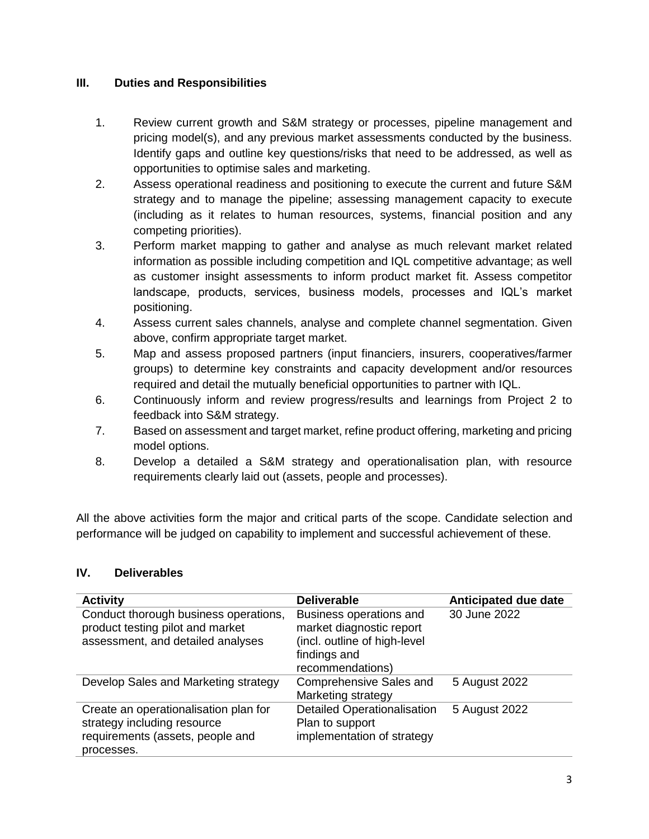## **III. Duties and Responsibilities**

- 1. Review current growth and S&M strategy or processes, pipeline management and pricing model(s), and any previous market assessments conducted by the business. Identify gaps and outline key questions/risks that need to be addressed, as well as opportunities to optimise sales and marketing.
- 2. Assess operational readiness and positioning to execute the current and future S&M strategy and to manage the pipeline; assessing management capacity to execute (including as it relates to human resources, systems, financial position and any competing priorities).
- 3. Perform market mapping to gather and analyse as much relevant market related information as possible including competition and IQL competitive advantage; as well as customer insight assessments to inform product market fit. Assess competitor landscape, products, services, business models, processes and IQL's market positioning.
- 4. Assess current sales channels, analyse and complete channel segmentation. Given above, confirm appropriate target market.
- 5. Map and assess proposed partners (input financiers, insurers, cooperatives/farmer groups) to determine key constraints and capacity development and/or resources required and detail the mutually beneficial opportunities to partner with IQL.
- 6. Continuously inform and review progress/results and learnings from Project 2 to feedback into S&M strategy.
- 7. Based on assessment and target market, refine product offering, marketing and pricing model options.
- 8. Develop a detailed a S&M strategy and operationalisation plan, with resource requirements clearly laid out (assets, people and processes).

All the above activities form the major and critical parts of the scope. Candidate selection and performance will be judged on capability to implement and successful achievement of these.

### **IV. Deliverables**

| <b>Activity</b>                                                                                                        | <b>Deliverable</b>                                                                                                      | Anticipated due date |
|------------------------------------------------------------------------------------------------------------------------|-------------------------------------------------------------------------------------------------------------------------|----------------------|
| Conduct thorough business operations,<br>product testing pilot and market<br>assessment, and detailed analyses         | Business operations and<br>market diagnostic report<br>(incl. outline of high-level<br>findings and<br>recommendations) | 30 June 2022         |
| Develop Sales and Marketing strategy                                                                                   | Comprehensive Sales and<br>Marketing strategy                                                                           | 5 August 2022        |
| Create an operationalisation plan for<br>strategy including resource<br>requirements (assets, people and<br>processes. | <b>Detailed Operationalisation</b><br>Plan to support<br>implementation of strategy                                     | 5 August 2022        |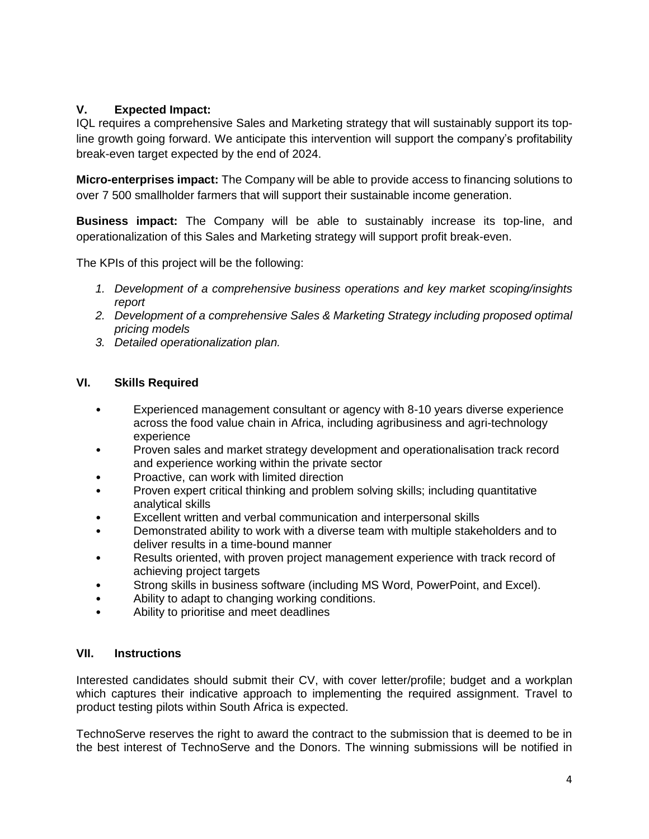# **V. Expected Impact:**

IQL requires a comprehensive Sales and Marketing strategy that will sustainably support its topline growth going forward. We anticipate this intervention will support the company's profitability break-even target expected by the end of 2024.

**Micro-enterprises impact:** The Company will be able to provide access to financing solutions to over 7 500 smallholder farmers that will support their sustainable income generation.

**Business impact:** The Company will be able to sustainably increase its top-line, and operationalization of this Sales and Marketing strategy will support profit break-even.

The KPIs of this project will be the following:

- *1. Development of a comprehensive business operations and key market scoping/insights report*
- *2. Development of a comprehensive Sales & Marketing Strategy including proposed optimal pricing models*
- *3. Detailed operationalization plan.*

## **VI. Skills Required**

- Experienced management consultant or agency with 8-10 years diverse experience across the food value chain in Africa, including agribusiness and agri-technology experience
- Proven sales and market strategy development and operationalisation track record and experience working within the private sector
- Proactive, can work with limited direction
- Proven expert critical thinking and problem solving skills; including quantitative analytical skills
- Excellent written and verbal communication and interpersonal skills
- Demonstrated ability to work with a diverse team with multiple stakeholders and to deliver results in a time-bound manner
- Results oriented, with proven project management experience with track record of achieving project targets
- Strong skills in business software (including MS Word, PowerPoint, and Excel).
- Ability to adapt to changing working conditions.
- Ability to prioritise and meet deadlines

### **VII. Instructions**

Interested candidates should submit their CV, with cover letter/profile; budget and a workplan which captures their indicative approach to implementing the required assignment. Travel to product testing pilots within South Africa is expected.

TechnoServe reserves the right to award the contract to the submission that is deemed to be in the best interest of TechnoServe and the Donors. The winning submissions will be notified in